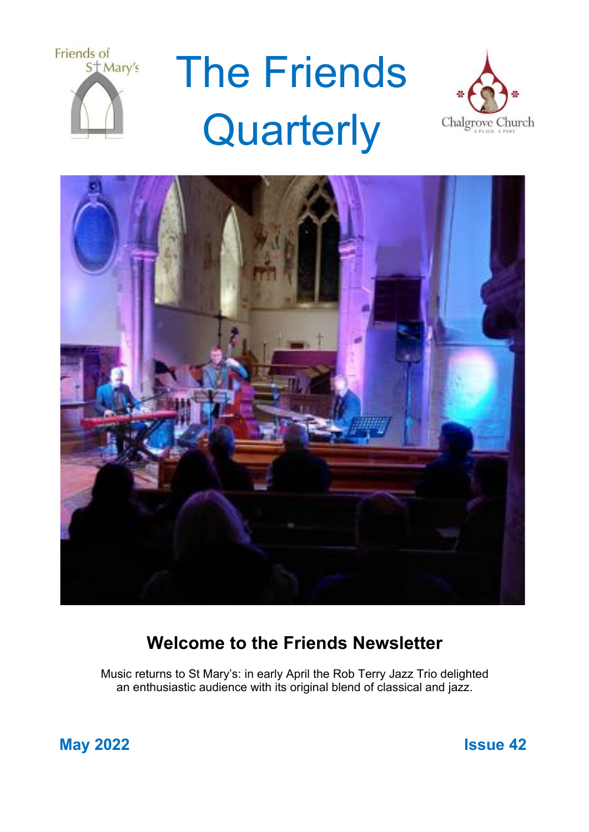

# The Friends **Quarterly**





## **Welcome to the Friends Newsletter**

Music returns to St Mary's: in early April the Rob Terry Jazz Trio delighted an enthusiastic audience with its original blend of classical and jazz.

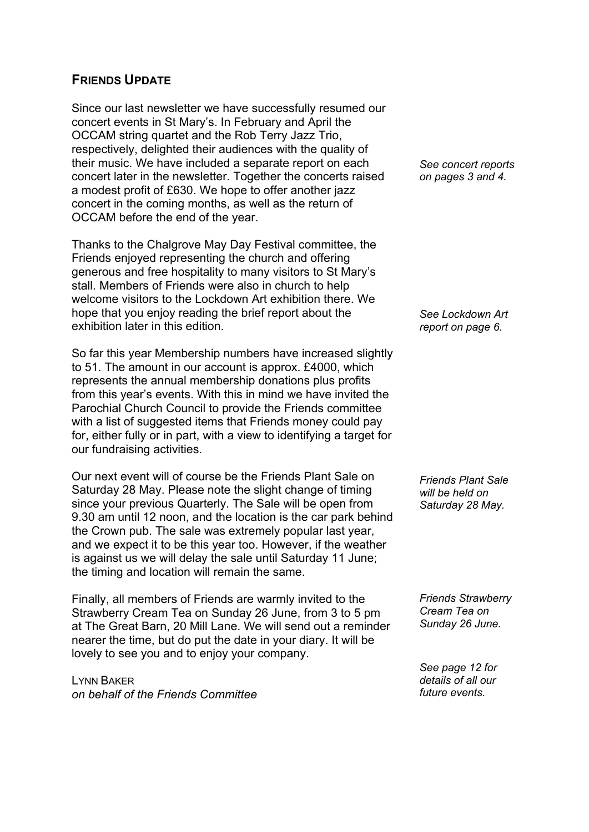## **FRIENDS UPDATE**

Since our last newsletter we have successfully resumed our concert events in St Mary's. In February and April the OCCAM string quartet and the Rob Terry Jazz Trio, respectively, delighted their audiences with the quality of their music. We have included a separate report on each concert later in the newsletter. Together the concerts raised a modest profit of £630. We hope to offer another jazz concert in the coming months, as well as the return of OCCAM before the end of the year.

Thanks to the Chalgrove May Day Festival committee, the Friends enjoyed representing the church and offering generous and free hospitality to many visitors to St Mary's stall. Members of Friends were also in church to help welcome visitors to the Lockdown Art exhibition there. We hope that you enjoy reading the brief report about the exhibition later in this edition.

So far this year Membership numbers have increased slightly to 51. The amount in our account is approx. £4000, which represents the annual membership donations plus profits from this year's events. With this in mind we have invited the Parochial Church Council to provide the Friends committee with a list of suggested items that Friends money could pay for, either fully or in part, with a view to identifying a target for our fundraising activities.

Our next event will of course be the Friends Plant Sale on Saturday 28 May. Please note the slight change of timing since your previous Quarterly. The Sale will be open from 9.30 am until 12 noon, and the location is the car park behind the Crown pub. The sale was extremely popular last year, and we expect it to be this year too. However, if the weather is against us we will delay the sale until Saturday 11 June; the timing and location will remain the same.

Finally, all members of Friends are warmly invited to the Strawberry Cream Tea on Sunday 26 June, from 3 to 5 pm at The Great Barn, 20 Mill Lane. We will send out a reminder nearer the time, but do put the date in your diary. It will be lovely to see you and to enjoy your company.

LYNN BAKER *on behalf of the Friends Committee*

*See concert reports on pages 3 and 4.*

*See Lockdown Art report on page 6.*

*Friends Plant Sale will be held on Saturday 28 May.*

*Friends Strawberry Cream Tea on Sunday 26 June.*

*See page 12 for details of all our future events.*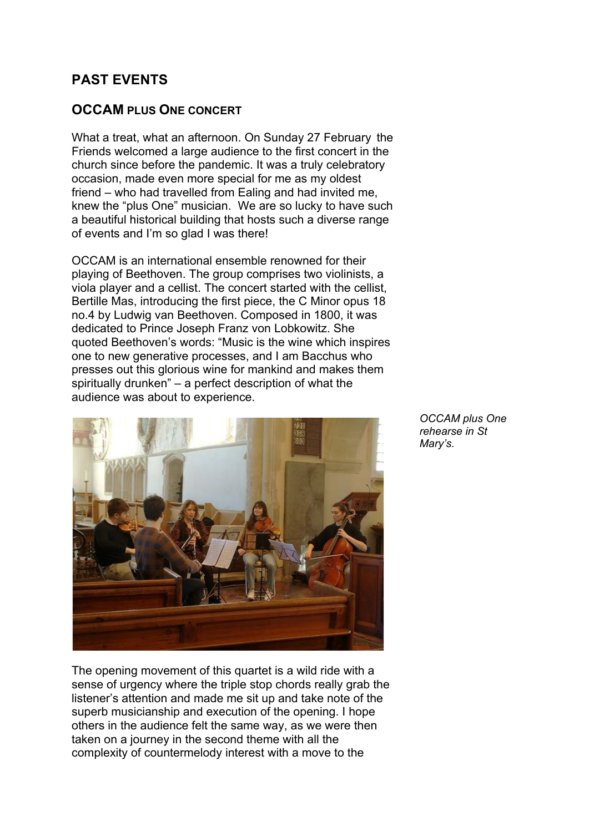## **PAST EVENTS**

## **OCCAM PLUS ONE CONCERT**

What a treat, what an afternoon. On Sunday 27 February the Friends welcomed a large audience to the first concert in the church since before the pandemic. It was a truly celebratory occasion, made even more special for me as my oldest friend – who had travelled from Ealing and had invited me, knew the "plus One" musician. We are so lucky to have such a beautiful historical building that hosts such a diverse range of events and I'm so glad I was there!

OCCAM is an international ensemble renowned for their playing of Beethoven. The group comprises two violinists, a viola player and a cellist. The concert started with the cellist, Bertille Mas, introducing the first piece, the C Minor opus 18 no.4 by Ludwig van Beethoven. Composed in 1800, it was dedicated to Prince Joseph Franz von Lobkowitz. She quoted Beethoven's words: "Music is the wine which inspires one to new generative processes, and I am Bacchus who presses out this glorious wine for mankind and makes them spiritually drunken" – a perfect description of what the audience was about to experience.



The opening movement of this quartet is a wild ride with a sense of urgency where the triple stop chords really grab the listener's attention and made me sit up and take note of the superb musicianship and execution of the opening. I hope others in the audience felt the same way, as we were then taken on a journey in the second theme with all the complexity of countermelody interest with a move to the

*OCCAM plus One rehearse in St Mary's.*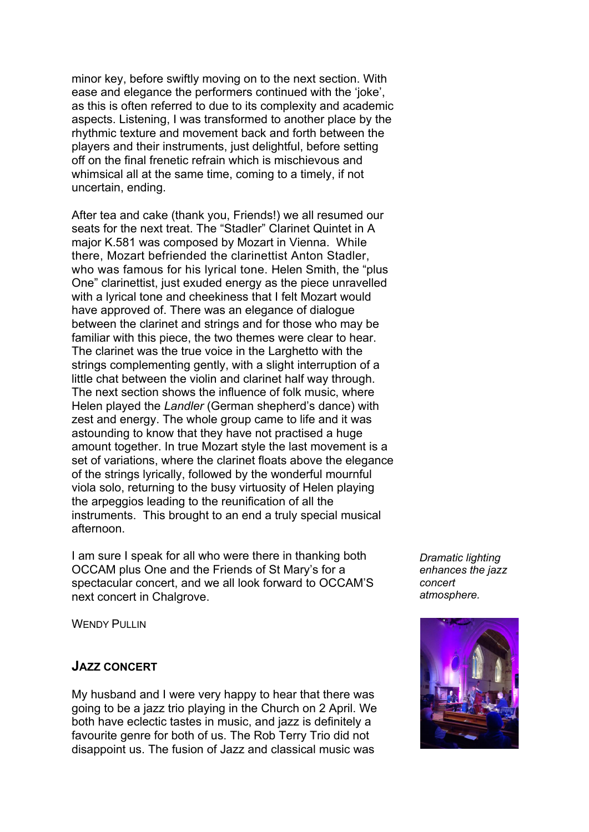minor key, before swiftly moving on to the next section. With ease and elegance the performers continued with the 'joke', as this is often referred to due to its complexity and academic aspects. Listening, I was transformed to another place by the rhythmic texture and movement back and forth between the players and their instruments, just delightful, before setting off on the final frenetic refrain which is mischievous and whimsical all at the same time, coming to a timely, if not uncertain, ending.

After tea and cake (thank you, Friends!) we all resumed our seats for the next treat. The "Stadler" Clarinet Quintet in A major K.581 was composed by Mozart in Vienna. While there, Mozart befriended the clarinettist Anton Stadler, who was famous for his lyrical tone. Helen Smith, the "plus One" clarinettist, just exuded energy as the piece unravelled with a lyrical tone and cheekiness that I felt Mozart would have approved of. There was an elegance of dialogue between the clarinet and strings and for those who may be familiar with this piece, the two themes were clear to hear. The clarinet was the true voice in the Larghetto with the strings complementing gently, with a slight interruption of a little chat between the violin and clarinet half way through. The next section shows the influence of folk music, where Helen played the *Landler* (German shepherd's dance) with zest and energy. The whole group came to life and it was astounding to know that they have not practised a huge amount together. In true Mozart style the last movement is a set of variations, where the clarinet floats above the elegance of the strings lyrically, followed by the wonderful mournful viola solo, returning to the busy virtuosity of Helen playing the arpeggios leading to the reunification of all the instruments. This brought to an end a truly special musical afternoon.

I am sure I speak for all who were there in thanking both OCCAM plus One and the Friends of St Mary's for a spectacular concert, and we all look forward to OCCAM'S next concert in Chalgrove.

**WENDY PULLIN** 

## **JAZZ CONCERT**

My husband and I were very happy to hear that there was going to be a jazz trio playing in the Church on 2 April. We both have eclectic tastes in music, and jazz is definitely a favourite genre for both of us. The Rob Terry Trio did not disappoint us. The fusion of Jazz and classical music was

*Dramatic lighting enhances the jazz concert atmosphere.*

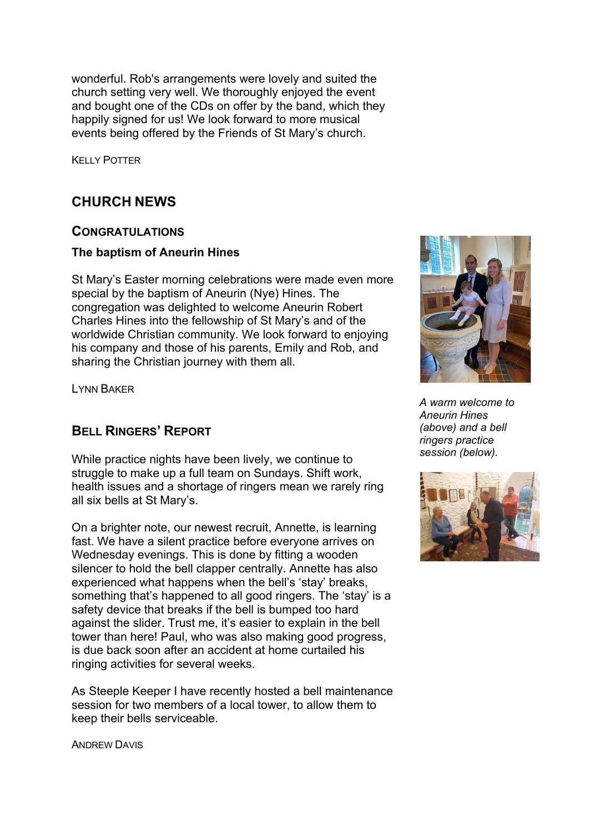wonderful. Rob's arrangements were lovely and suited the church setting very well. We thoroughly enjoyed the event and bought one of the CDs on offer by the band, which they happily signed for us! We look forward to more musical events being offered by the Friends of St Mary's church.

KELLY POTTER

## **CHURCH NEWS**

## **CONGRATULATIONS**

## **The baptism of Aneurin Hines**

St Mary's Easter morning celebrations were made even more special by the baptism of Aneurin (Nye) Hines. The congregation was delighted to welcome Aneurin Robert Charles Hines into the fellowship of St Mary's and of the worldwide Christian community. We look forward to enjoying his company and those of his parents, Emily and Rob, and sharing the Christian journey with them all.

LYNN BAKER

## **BELL RINGERS' REPORT**

While practice nights have been lively, we continue to struggle to make up a full team on Sundays. Shift work, health issues and a shortage of ringers mean we rarely ring all six bells at St Mary's.

On a brighter note, our newest recruit, Annette, is learning fast. We have a silent practice before everyone arrives on Wednesday evenings. This is done by fitting a wooden silencer to hold the bell clapper centrally. Annette has also experienced what happens when the bell's 'stay' breaks, something that's happened to all good ringers. The 'stay' is a safety device that breaks if the bell is bumped too hard against the slider. Trust me, it's easier to explain in the bell tower than here! Paul, who was also making good progress, is due back soon after an accident at home curtailed his ringing activities for several weeks.

As Steeple Keeper I have recently hosted a bell maintenance session for two members of a local tower, to allow them to keep their bells serviceable.



*A warm welcome to Aneurin Hines (above) and a bell ringers practice session (below).*



ANDREW DAVIS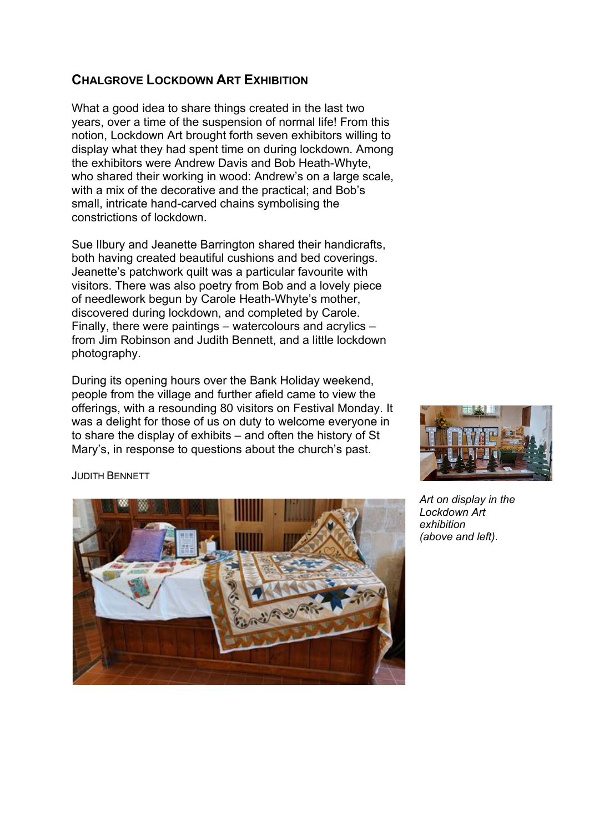## **CHALGROVE LOCKDOWN ART EXHIBITION**

What a good idea to share things created in the last two years, over a time of the suspension of normal life! From this notion, Lockdown Art brought forth seven exhibitors willing to display what they had spent time on during lockdown. Among the exhibitors were Andrew Davis and Bob Heath-Whyte, who shared their working in wood: Andrew's on a large scale, with a mix of the decorative and the practical; and Bob's small, intricate hand-carved chains symbolising the constrictions of lockdown.

Sue Ilbury and Jeanette Barrington shared their handicrafts, both having created beautiful cushions and bed coverings. Jeanette's patchwork quilt was a particular favourite with visitors. There was also poetry from Bob and a lovely piece of needlework begun by Carole Heath-Whyte's mother, discovered during lockdown, and completed by Carole. Finally, there were paintings – watercolours and acrylics – from Jim Robinson and Judith Bennett, and a little lockdown photography.

During its opening hours over the Bank Holiday weekend, people from the village and further afield came to view the offerings, with a resounding 80 visitors on Festival Monday. It was a delight for those of us on duty to welcome everyone in to share the display of exhibits – and often the history of St Mary's, in response to questions about the church's past.



*Art on display in the Lockdown Art exhibition (above and left).*

JUDITH BENNETT

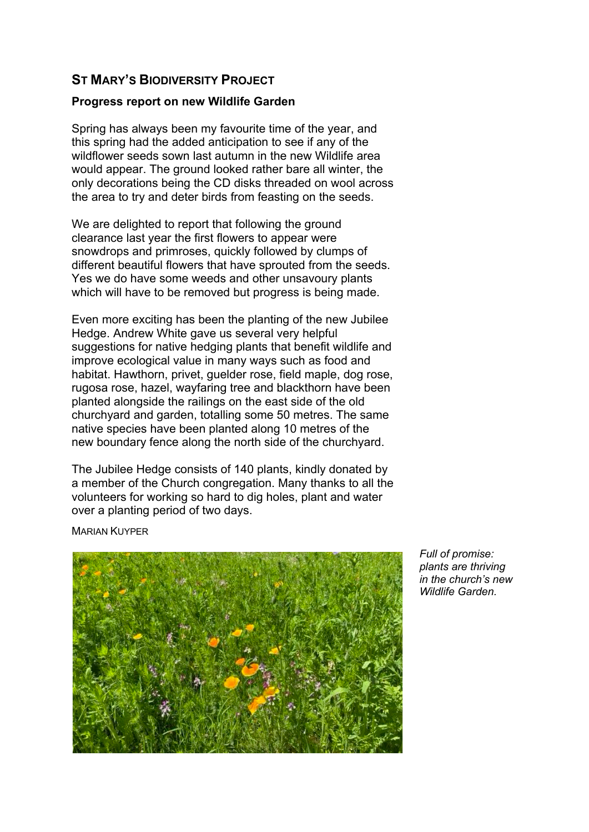## **ST MARY'S BIODIVERSITY PROJECT**

#### **Progress report on new Wildlife Garden**

Spring has always been my favourite time of the year, and this spring had the added anticipation to see if any of the wildflower seeds sown last autumn in the new Wildlife area would appear. The ground looked rather bare all winter, the only decorations being the CD disks threaded on wool across the area to try and deter birds from feasting on the seeds.

We are delighted to report that following the ground clearance last year the first flowers to appear were snowdrops and primroses, quickly followed by clumps of different beautiful flowers that have sprouted from the seeds. Yes we do have some weeds and other unsavoury plants which will have to be removed but progress is being made.

Even more exciting has been the planting of the new Jubilee Hedge. Andrew White gave us several very helpful suggestions for native hedging plants that benefit wildlife and improve ecological value in many ways such as food and habitat. Hawthorn, privet, guelder rose, field maple, dog rose, rugosa rose, hazel, wayfaring tree and blackthorn have been planted alongside the railings on the east side of the old churchyard and garden, totalling some 50 metres. The same native species have been planted along 10 metres of the new boundary fence along the north side of the churchyard.

The Jubilee Hedge consists of 140 plants, kindly donated by a member of the Church congregation. Many thanks to all the volunteers for working so hard to dig holes, plant and water over a planting period of two days.

MARIAN KUYPER



*Full of promise: plants are thriving in the church's new Wildlife Garden.*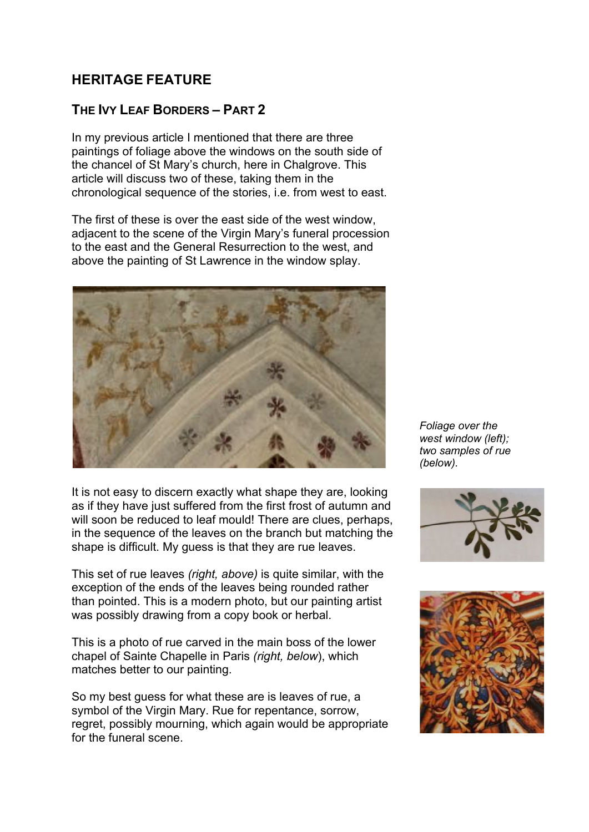## **HERITAGE FEATURE**

## **THE IVY LEAF BORDERS – PART 2**

In my previous article I mentioned that there are three paintings of foliage above the windows on the south side of the chancel of St Mary's church, here in Chalgrove. This article will discuss two of these, taking them in the chronological sequence of the stories, i.e. from west to east.

The first of these is over the east side of the west window, adiacent to the scene of the Virgin Mary's funeral procession to the east and the General Resurrection to the west, and above the painting of St Lawrence in the window splay.



It is not easy to discern exactly what shape they are, looking as if they have just suffered from the first frost of autumn and will soon be reduced to leaf mould! There are clues, perhaps, in the sequence of the leaves on the branch but matching the shape is difficult. My guess is that they are rue leaves.

This set of rue leaves *(right, above)* is quite similar, with the exception of the ends of the leaves being rounded rather than pointed. This is a modern photo, but our painting artist was possibly drawing from a copy book or herbal.

This is a photo of rue carved in the main boss of the lower chapel of Sainte Chapelle in Paris *(right, below*), which matches better to our painting.

So my best guess for what these are is leaves of rue, a symbol of the Virgin Mary. Rue for repentance, sorrow, regret, possibly mourning, which again would be appropriate for the funeral scene.

*Foliage over the west window (left); two samples of rue (below).*



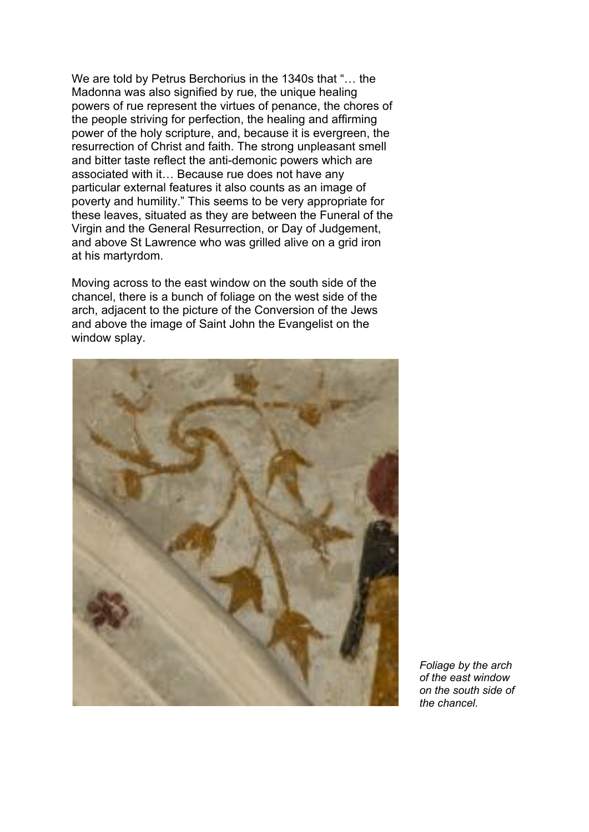We are told by Petrus Berchorius in the 1340s that "… the Madonna was also signified by rue, the unique healing powers of rue represent the virtues of penance, the chores of the people striving for perfection, the healing and affirming power of the holy scripture, and, because it is evergreen, the resurrection of Christ and faith. The strong unpleasant smell and bitter taste reflect the anti-demonic powers which are associated with it… Because rue does not have any particular external features it also counts as an image of poverty and humility." This seems to be very appropriate for these leaves, situated as they are between the Funeral of the Virgin and the General Resurrection, or Day of Judgement, and above St Lawrence who was grilled alive on a grid iron at his martyrdom.

Moving across to the east window on the south side of the chancel, there is a bunch of foliage on the west side of the arch, adjacent to the picture of the Conversion of the Jews and above the image of Saint John the Evangelist on the window splay.



*Foliage by the arch of the east window on the south side of the chancel.*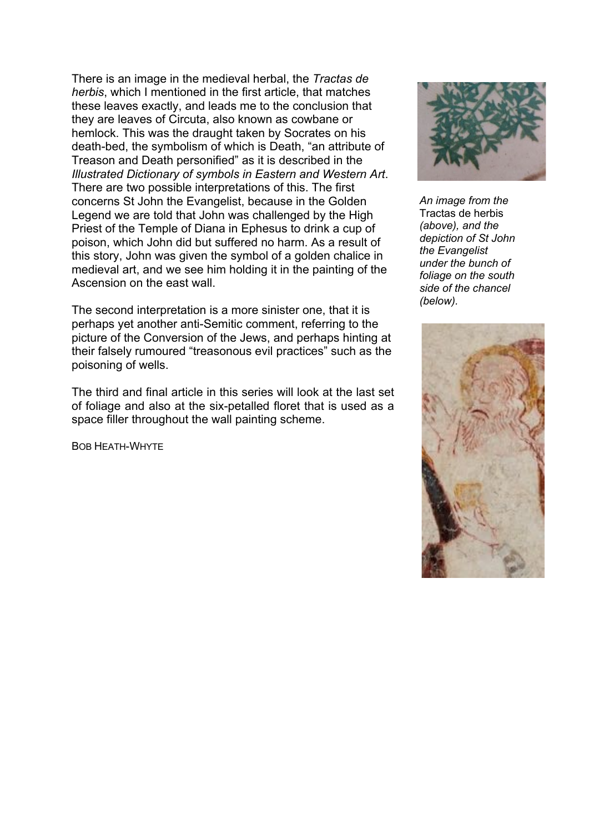There is an image in the medieval herbal, the *Tractas de herbis*, which I mentioned in the first article, that matches these leaves exactly, and leads me to the conclusion that they are leaves of Circuta, also known as cowbane or hemlock. This was the draught taken by Socrates on his death-bed, the symbolism of which is Death, "an attribute of Treason and Death personified" as it is described in the *Illustrated Dictionary of symbols in Eastern and Western Art*. There are two possible interpretations of this. The first concerns St John the Evangelist, because in the Golden Legend we are told that John was challenged by the High Priest of the Temple of Diana in Ephesus to drink a cup of poison, which John did but suffered no harm. As a result of this story, John was given the symbol of a golden chalice in medieval art, and we see him holding it in the painting of the Ascension on the east wall.

The second interpretation is a more sinister one, that it is perhaps yet another anti-Semitic comment, referring to the picture of the Conversion of the Jews, and perhaps hinting at their falsely rumoured "treasonous evil practices" such as the poisoning of wells.

The third and final article in this series will look at the last set of foliage and also at the six-petalled floret that is used as a space filler throughout the wall painting scheme.

BOB HEATH-WHYTE



*An image from the*  Tractas de herbis *(above), and the depiction of St John the Evangelist under the bunch of foliage on the south side of the chancel (below).*

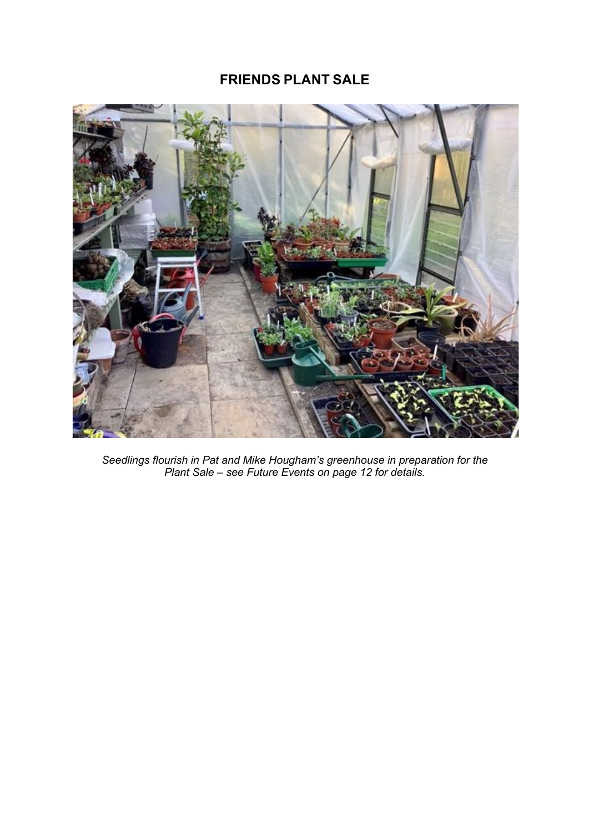## **FRIENDS PLANT SALE**



*Seedlings flourish in Pat and Mike Hougham's greenhouse in preparation for the Plant Sale – see Future Events on page 12 for details.*